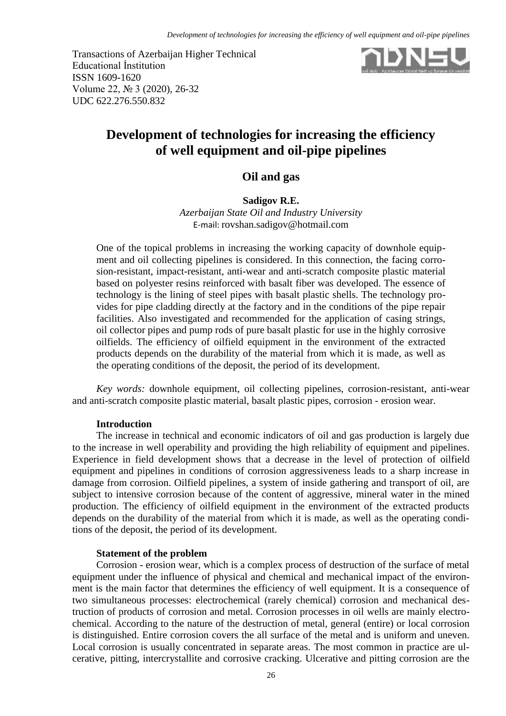Transactions of Azerbaijan Higher Technical Educational İnstitution ISSN 1609-1620 Volume 22, № 3 (2020), 26-32 UDC 622.276.550.832



# **Development of technologies for increasing the efficiency of well equipment and oil-pipe pipelines**

## **Oil and gas**

**Sadigov R.E.** *Azerbaijan State Oil and Industry University* E-mail: [rovshan.sadigov@hotmail.com](mailto:rovshan.sadigov@hotmail.com)

One of the topical problems in increasing the working capacity of downhole equipment and oil collecting pipelines is considered. In this connection, the facing corrosion-resistant, impact-resistant, anti-wear and anti-scratch composite plastic material based on polyester resins reinforced with basalt fiber was developed. The essence of technology is the lining of steel pipes with basalt plastic shells. The technology provides for pipe cladding directly at the factory and in the conditions of the pipe repair facilities. Also investigated and recommended for the application of casing strings, oil collector pipes and pump rods of pure basalt plastic for use in the highly corrosive oilfields. The efficiency of oilfield equipment in the environment of the extracted products depends on the durability of the material from which it is made, as well as the operating conditions of the deposit, the period of its development.

*Key words:* downhole equipment, oil collecting pipelines, corrosion-resistant, anti-wear and anti-scratch composite plastic material, basalt plastic pipes, corrosion - erosion wear.

## **Introduction**

The increase in technical and economic indicators of oil and gas production is largely due to the increase in well operability and providing the high reliability of equipment and pipelines. Experience in field development shows that a decrease in the level of protection of oilfield equipment and pipelines in conditions of corrosion aggressiveness leads to a sharp increase in damage from corrosion. Oilfield pipelines, a system of inside gathering and transport of oil, are subject to intensive corrosion because of the content of aggressive, mineral water in the mined production. The efficiency of oilfield equipment in the environment of the extracted products depends on the durability of the material from which it is made, as well as the operating conditions of the deposit, the period of its development.

## **Statement of the problem**

Corrosion - erosion wear, which is a complex process of destruction of the surface of metal equipment under the influence of physical and chemical and mechanical impact of the environment is the main factor that determines the efficiency of well equipment. It is a consequence of two simultaneous processes: electrochemical (rarely chemical) corrosion and mechanical destruction of products of corrosion and metal. Corrosion processes in oil wells are mainly electrochemical. According to the nature of the destruction of metal, general (entire) or local corrosion is distinguished. Entire corrosion covers the all surface of the metal and is uniform and uneven. Local corrosion is usually concentrated in separate areas. The most common in practice are ulcerative, pitting, intercrystallite and corrosive cracking. Ulcerative and pitting corrosion are the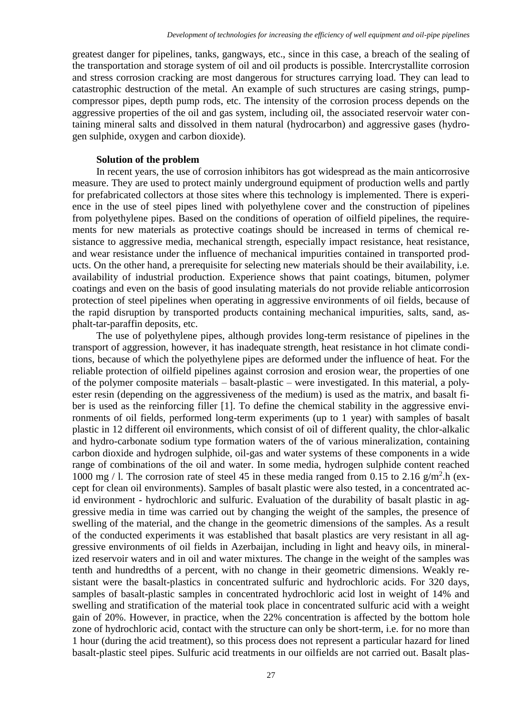greatest danger for pipelines, tanks, gangways, etc., since in this case, a breach of the sealing of the transportation and storage system of oil and oil products is possible. Intercrystallite corrosion and stress corrosion cracking are most dangerous for structures carrying load. They can lead to catastrophic destruction of the metal. An example of such structures are casing strings, pumpcompressor pipes, depth pump rods, etc. The intensity of the corrosion process depends on the aggressive properties of the oil and gas system, including oil, the associated reservoir water containing mineral salts and dissolved in them natural (hydrocarbon) and aggressive gases (hydrogen sulphide, oxygen and carbon dioxide).

### **Solution of the problem**

In recent years, the use of corrosion inhibitors has got widespread as the main anticorrosive measure. They are used to protect mainly underground equipment of production wells and partly for prefabricated collectors at those sites where this technology is implemented. There is experience in the use of steel pipes lined with polyethylene cover and the construction of pipelines from polyethylene pipes. Based on the conditions of operation of oilfield pipelines, the requirements for new materials as protective coatings should be increased in terms of chemical resistance to aggressive media, mechanical strength, especially impact resistance, heat resistance, and wear resistance under the influence of mechanical impurities contained in transported products. On the other hand, a prerequisite for selecting new materials should be their availability, i.e. availability of industrial production. Experience shows that paint coatings, bitumen, polymer coatings and even on the basis of good insulating materials do not provide reliable anticorrosion protection of steel pipelines when operating in aggressive environments of oil fields, because of the rapid disruption by transported products containing mechanical impurities, salts, sand, asphalt-tar-paraffin deposits, etc.

The use of polyethylene pipes, although provides long-term resistance of pipelines in the transport of aggression, however, it has inadequate strength, heat resistance in hot climate conditions, because of which the polyethylene pipes are deformed under the influence of heat. For the reliable protection of oilfield pipelines against corrosion and erosion wear, the properties of one of the polymer composite materials – basalt-plastic – were investigated. In this material, a polyester resin (depending on the aggressiveness of the medium) is used as the matrix, and basalt fiber is used as the reinforcing filler [1]. To define the chemical stability in the aggressive environments of oil fields, performed long-term experiments (up to 1 year) with samples of basalt plastic in 12 different oil environments, which consist of oil of different quality, the chlor-alkalic and hydro-carbonate sodium type formation waters of the of various mineralization, containing carbon dioxide and hydrogen sulphide, oil-gas and water systems of these components in a wide range of combinations of the oil and water. In some media, hydrogen sulphide content reached 1000 mg / 1. The corrosion rate of steel 45 in these media ranged from 0.15 to 2.16  $g/m<sup>2</sup>$ .h (except for clean oil environments). Samples of basalt plastic were also tested, in a concentrated acid environment - hydrochloric and sulfuric. Evaluation of the durability of basalt plastic in aggressive media in time was carried out by changing the weight of the samples, the presence of swelling of the material, and the change in the geometric dimensions of the samples. As a result of the conducted experiments it was established that basalt plastics are very resistant in all aggressive environments of oil fields in Azerbaijan, including in light and heavy oils, in mineralized reservoir waters and in oil and water mixtures. The change in the weight of the samples was tenth and hundredths of a percent, with no change in their geometric dimensions. Weakly resistant were the basalt-plastics in concentrated sulfuric and hydrochloric acids. For 320 days, samples of basalt-plastic samples in concentrated hydrochloric acid lost in weight of 14% and swelling and stratification of the material took place in concentrated sulfuric acid with a weight gain of 20%. However, in practice, when the 22% concentration is affected by the bottom hole zone of hydrochloric acid, contact with the structure can only be short-term, i.e. for no more than 1 hour (during the acid treatment), so this process does not represent a particular hazard for lined basalt-plastic steel pipes. Sulfuric acid treatments in our oilfields are not carried out. Basalt plas-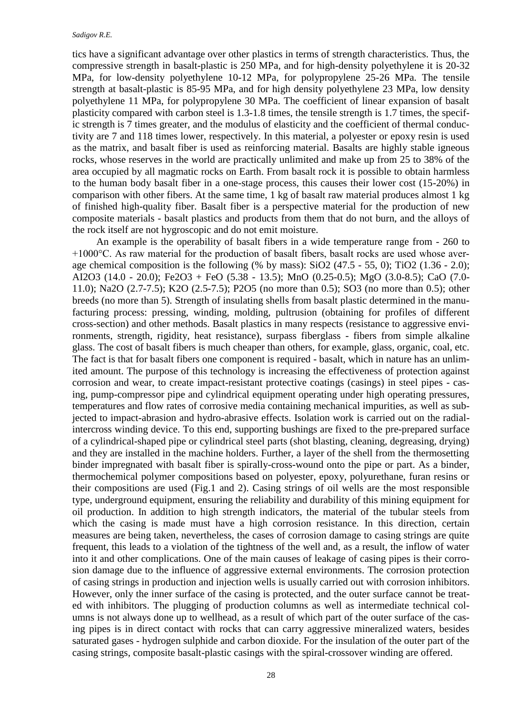#### *Sadigov R.E.*

tics have a significant advantage over other plastics in terms of strength characteristics. Thus, the compressive strength in basalt-plastic is 250 MPa, and for high-density polyethylene it is 20-32 MPa, for low-density polyethylene 10-12 MPa, for polypropylene 25-26 MPa. The tensile strength at basalt-plastic is 85-95 MPa, and for high density polyethylene 23 MPa, low density polyethylene 11 MPa, for polypropylene 30 MPa. The coefficient of linear expansion of basalt plasticity compared with carbon steel is 1.3-1.8 times, the tensile strength is 1.7 times, the specific strength is 7 times greater, and the modulus of elasticity and the coefficient of thermal conductivity are 7 and 118 times lower, respectively. In this material, a polyester or epoxy resin is used as the matrix, and basalt fiber is used as reinforcing material. Basalts are highly stable igneous rocks, whose reserves in the world are practically unlimited and make up from 25 to 38% of the area occupied by all magmatic rocks on Earth. From basalt rock it is possible to obtain harmless to the human body basalt fiber in a one-stage process, this causes their lower cost (15-20%) in comparison with other fibers. At the same time, 1 kg of basalt raw material produces almost 1 kg of finished high-quality fiber. Basalt fiber is a perspective material for the production of new composite materials - basalt plastics and products from them that do not burn, and the alloys of the rock itself are not hygroscopic and do not emit moisture.

An example is the operability of basalt fibers in a wide temperature range from - 260 to +1000°C. As raw material for the production of basalt fibers, basalt rocks are used whose average chemical composition is the following (% by mass):  $SiO2$  (47.5 - 55, 0); TiO2 (1.36 - 2.0); AI2O3 (14.0 - 20.0); Fe2O3 + FeO (5.38 - 13.5); MnO (0.25-0.5); MgO (3.0-8.5); CaO (7.0- 11.0); Na2O (2.7-7.5); K2O (2.5-7.5); P2O5 (no more than 0.5); SO3 (no more than 0.5); other breeds (no more than 5). Strength of insulating shells from basalt plastic determined in the manufacturing process: pressing, winding, molding, pultrusion (obtaining for profiles of different cross-section) and other methods. Basalt plastics in many respects (resistance to aggressive environments, strength, rigidity, heat resistance), surpass fiberglass - fibers from simple alkaline glass. The cost of basalt fibers is much cheaper than others, for example, glass, organic, coal, etc. The fact is that for basalt fibers one component is required - basalt, which in nature has an unlimited amount. The purpose of this technology is increasing the effectiveness of protection against corrosion and wear, to create impact-resistant protective coatings (casings) in steel pipes - casing, pump-compressor pipe and cylindrical equipment operating under high operating pressures, temperatures and flow rates of corrosive media containing mechanical impurities, as well as subjected to impact-abrasion and hydro-abrasive effects. Isolation work is carried out on the radialintercross winding device. To this end, supporting bushings are fixed to the pre-prepared surface of a cylindrical-shaped pipe or cylindrical steel parts (shot blasting, cleaning, degreasing, drying) and they are installed in the machine holders. Further, a layer of the shell from the thermosetting binder impregnated with basalt fiber is spirally-cross-wound onto the pipe or part. As a binder, thermochemical polymer compositions based on polyester, epoxy, polyurethane, furan resins or their compositions are used (Fig.1 and 2). Casing strings of oil wells are the most responsible type, underground equipment, ensuring the reliability and durability of this mining equipment for oil production. In addition to high strength indicators, the material of the tubular steels from which the casing is made must have a high corrosion resistance. In this direction, certain measures are being taken, nevertheless, the cases of corrosion damage to casing strings are quite frequent, this leads to a violation of the tightness of the well and, as a result, the inflow of water into it and other complications. One of the main causes of leakage of casing pipes is their corrosion damage due to the influence of aggressive external environments. The corrosion protection of casing strings in production and injection wells is usually carried out with corrosion inhibitors. However, only the inner surface of the casing is protected, and the outer surface cannot be treated with inhibitors. The plugging of production columns as well as intermediate technical columns is not always done up to wellhead, as a result of which part of the outer surface of the casing pipes is in direct contact with rocks that can carry aggressive mineralized waters, besides saturated gases - hydrogen sulphide and carbon dioxide. For the insulation of the outer part of the casing strings, composite basalt-plastic casings with the spiral-crossover winding are offered.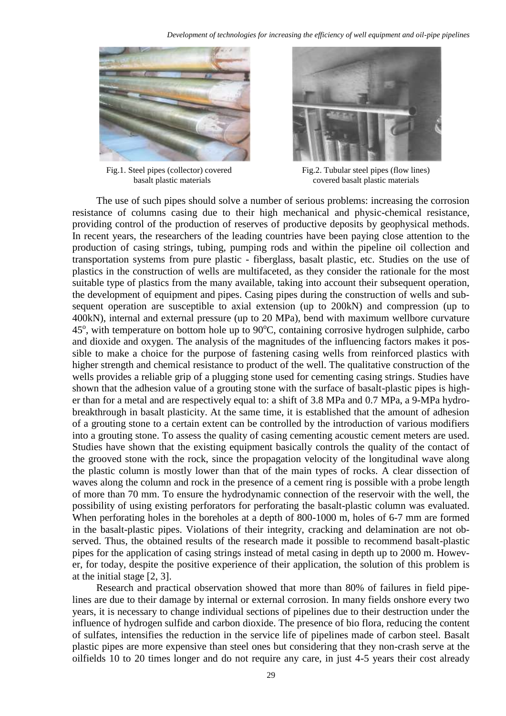



Fig.1. Steel pipes (collector) covered Fig.2. Tubular steel pipes (flow lines) basalt plastic materials covered basalt plastic materials

The use of such pipes should solve a number of serious problems: increasing the corrosion resistance of columns casing due to their high mechanical and physic-chemical resistance, providing control of the production of reserves of productive deposits by geophysical methods. In recent years, the researchers of the leading countries have been paying close attention to the production of casing strings, tubing, pumping rods and within the pipeline oil collection and transportation systems from pure plastic - fiberglass, basalt plastic, etc. Studies on the use of plastics in the construction of wells are multifaceted, as they consider the rationale for the most suitable type of plastics from the many available, taking into account their subsequent operation, the development of equipment and pipes. Casing pipes during the construction of wells and subsequent operation are susceptible to axial extension (up to 200kN) and compression (up to 400kN), internal and external pressure (up to 20 MPa), bend with maximum wellbore curvature 45°, with temperature on bottom hole up to 90°C, containing corrosive hydrogen sulphide, carbo and dioxide and oxygen. The analysis of the magnitudes of the influencing factors makes it possible to make a choice for the purpose of fastening casing wells from reinforced plastics with higher strength and chemical resistance to product of the well. The qualitative construction of the wells provides a reliable grip of a plugging stone used for cementing casing strings. Studies have shown that the adhesion value of a grouting stone with the surface of basalt-plastic pipes is higher than for a metal and are respectively equal to: a shift of 3.8 MPa and 0.7 MPa, a 9-MPa hydrobreakthrough in basalt plasticity. At the same time, it is established that the amount of adhesion of a grouting stone to a certain extent can be controlled by the introduction of various modifiers into a grouting stone. To assess the quality of casing cementing acoustic cement meters are used. Studies have shown that the existing equipment basically controls the quality of the contact of the grooved stone with the rock, since the propagation velocity of the longitudinal wave along the plastic column is mostly lower than that of the main types of rocks. A clear dissection of waves along the column and rock in the presence of a cement ring is possible with a probe length of more than 70 mm. To ensure the hydrodynamic connection of the reservoir with the well, the possibility of using existing perforators for perforating the basalt-plastic column was evaluated. When perforating holes in the boreholes at a depth of 800-1000 m, holes of 6-7 mm are formed in the basalt-plastic pipes. Violations of their integrity, cracking and delamination are not observed. Thus, the obtained results of the research made it possible to recommend basalt-plastic pipes for the application of casing strings instead of metal casing in depth up to 2000 m. However, for today, despite the positive experience of their application, the solution of this problem is at the initial stage [2, 3].

Research and practical observation showed that more than 80% of failures in field pipelines are due to their damage by internal or external corrosion. In many fields onshore every two years, it is necessary to change individual sections of pipelines due to their destruction under the influence of hydrogen sulfide and carbon dioxide. The presence of bio flora, reducing the content of sulfates, intensifies the reduction in the service life of pipelines made of carbon steel. Basalt plastic pipes are more expensive than steel ones but considering that they non-crash serve at the oilfields 10 to 20 times longer and do not require any care, in just 4-5 years their cost already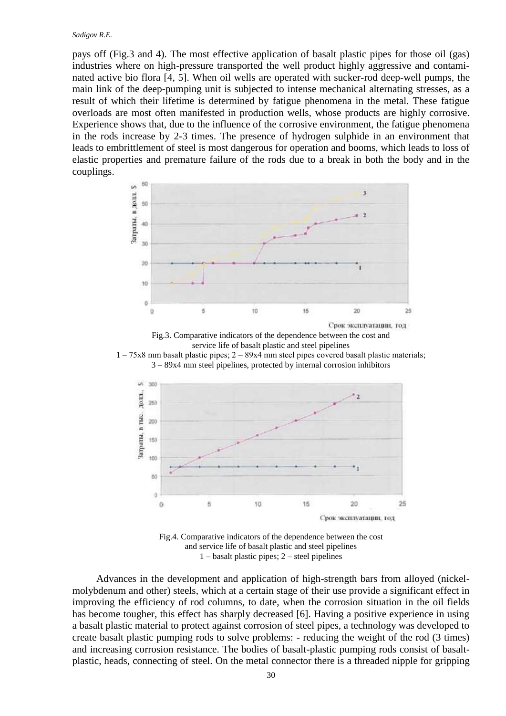#### *Sadigov R.E.*

pays off (Fig.3 and 4). The most effective application of basalt plastic pipes for those oil (gas) industries where on high-pressure transported the well product highly aggressive and contaminated active bio flora [4, 5]. When oil wells are operated with sucker-rod deep-well pumps, the main link of the deep-pumping unit is subjected to intense mechanical alternating stresses, as a result of which their lifetime is determined by fatigue phenomena in the metal. These fatigue overloads are most often manifested in production wells, whose products are highly corrosive. Experience shows that, due to the influence of the corrosive environment, the fatigue phenomena in the rods increase by 2-3 times. The presence of hydrogen sulphide in an environment that leads to embrittlement of steel is most dangerous for operation and booms, which leads to loss of elastic properties and premature failure of the rods due to a break in both the body and in the couplings.



Fig.3. Comparative indicators of the dependence between the cost and service life of basalt plastic and steel pipelines





Fig.4. Comparative indicators of the dependence between the cost and service life of basalt plastic and steel pipelines 1 – basalt plastic pipes; 2 – steel pipelines

Advances in the development and application of high-strength bars from alloyed (nickelmolybdenum and other) steels, which at a certain stage of their use provide a significant effect in improving the efficiency of rod columns, to date, when the corrosion situation in the oil fields has become tougher, this effect has sharply decreased [6]. Having a positive experience in using a basalt plastic material to protect against corrosion of steel pipes, a technology was developed to create basalt plastic pumping rods to solve problems: - reducing the weight of the rod (3 times) and increasing corrosion resistance. The bodies of basalt-plastic pumping rods consist of basaltplastic, heads, connecting of steel. On the metal connector there is a threaded nipple for gripping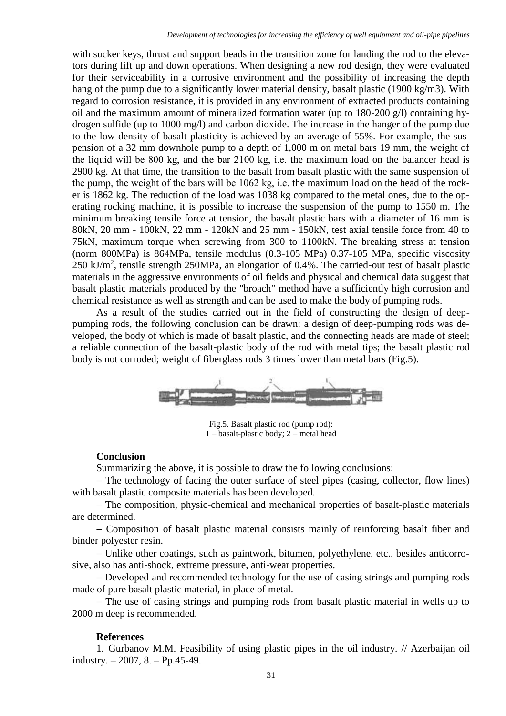with sucker keys, thrust and support beads in the transition zone for landing the rod to the elevators during lift up and down operations. When designing a new rod design, they were evaluated for their serviceability in a corrosive environment and the possibility of increasing the depth hang of the pump due to a significantly lower material density, basalt plastic (1900 kg/m3). With regard to corrosion resistance, it is provided in any environment of extracted products containing oil and the maximum amount of mineralized formation water (up to 180-200 g/l) containing hydrogen sulfide (up to 1000 mg/l) and carbon dioxide. The increase in the hanger of the pump due to the low density of basalt plasticity is achieved by an average of 55%. For example, the suspension of a 32 mm downhole pump to a depth of 1,000 m on metal bars 19 mm, the weight of the liquid will be 800 kg, and the bar 2100 kg, i.е. the maximum load on the balancer head is 2900 kg. At that time, the transition to the basalt from basalt plastic with the same suspension of the pump, the weight of the bars will be 1062 kg, i.е. the maximum load on the head of the rocker is 1862 kg. The reduction of the load was 1038 kg compared to the metal ones, due to the operating rocking machine, it is possible to increase the suspension of the pump to 1550 m. The minimum breaking tensile force at tension, the basalt plastic bars with a diameter of 16 mm is 80kN, 20 mm - 100kN, 22 mm - 120kN and 25 mm - 150kN, test axial tensile force from 40 to 75kN, maximum torque when screwing from 300 to 1100kN. The breaking stress at tension (norm 800MPa) is 864MPa, tensile modulus (0.3-105 MPa) 0.37-105 MPa, specific viscosity 250 kJ/m<sup>2</sup>, tensile strength 250MPa, an elongation of 0.4%. The carried-out test of basalt plastic materials in the aggressive environments of oil fields and physical and chemical data suggest that basalt plastic materials produced by the "broach" method have a sufficiently high corrosion and chemical resistance as well as strength and can be used to make the body of pumping rods.

As a result of the studies carried out in the field of constructing the design of deeppumping rods, the following conclusion can be drawn: a design of deep-pumping rods was developed, the body of which is made of basalt plastic, and the connecting heads are made of steel; a reliable connection of the basalt-plastic body of the rod with metal tips; the basalt plastic rod body is not corroded; weight of fiberglass rods 3 times lower than metal bars (Fig.5).



Fig.5. Basalt plastic rod (pump rod): 1 – basalt-plastic body; 2 – metal head

#### **Conclusion**

Summarizing the above, it is possible to draw the following conclusions:

- The technology of facing the outer surface of steel pipes (casing, collector, flow lines) with basalt plastic composite materials has been developed.

- The composition, physic-chemical and mechanical properties of basalt-plastic materials are determined.

 Composition of basalt plastic material consists mainly of reinforcing basalt fiber and binder polyester resin.

 Unlike other coatings, such as paintwork, bitumen, polyethylene, etc., besides anticorrosive, also has anti-shock, extreme pressure, anti-wear properties.

- Developed and recommended technology for the use of casing strings and pumping rods made of pure basalt plastic material, in place of metal.

- The use of casing strings and pumping rods from basalt plastic material in wells up to 2000 m deep is recommended.

#### **References**

1. Gurbanov M.M. Feasibility of using plastic pipes in the oil industry. // Azerbaijan oil industry.  $-2007$ , 8.  $-$  Pp.45-49.